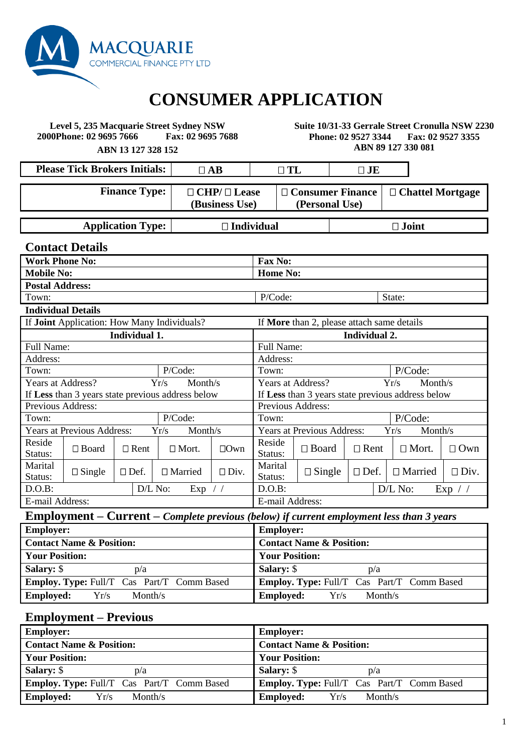

# **CONSUMER APPLICATION**

**Level 5, 235 Macquarie Street Sydney NSW 2000Phone: 02 9695 7666 Fax: 02 9695 7688** **Suite 10/31-33 Gerrale Street Cronulla NSW 2230 Phone: 02 9527 3344 Fax: 02 9527 3355 ABN 89 127 330 081**

**ABN 13 127 328 152**

**Please Tick Brokers Initials:**  $\begin{array}{ccc} \Box & \Box \text{AB} \end{array}$   $\begin{array}{ccc} \Box & \text{T} \text{L} \end{array}$   $\begin{array}{ccc} \Box & \text{JE} \end{array}$ **Finance Type:**  $\Box$  **CHP**/  $\Box$  **Lease (Business Use) Consumer Finance (Personal Use) Chattel Mortgage** 

**Application Type: Individual Joint**

**Contact Details Work Phone No: Fax No: Mobile No: Home No: Postal Address:**  Town: State:  $P/Code:$  State: **Individual Details** If **Joint** Application: How Many Individuals? If **More** than 2, please attach same details **Individual 1. Individual 2.** Full Name: Full Name: Address: Address: Town: P/Code: Proven: P/Code: Proven: P/Code: Years at Address? Yr/s Month/s If **Less** than 3 years state previous address below Years at Address? Yr/s Month/s If **Less** than 3 years state previous address below Previous Address: Previous Address: Town: P/Code: Proven: P/Code: Proven: P/Code: Years at Previous Address: Yr/s Month/s Years at Previous Address: Yr/s Month/s Reside Reside  $\Box$  Board  $\Box$  Rent  $\Box$  Mort.  $\Box$  Own Reside Status: Status:  $\Box$  Board  $\Box$  Rent  $\Box$  Mort.  $\Box$  Own Marital<br>Status: Marital  $\Box$  Single  $\Box$  Def.  $\Box$  Married  $\Box$  Div. Marital Status: Marital  $\Box$  Single  $\Box$  Def.  $\Box$  Married  $\Box$  Div. D.O.B:  $D/L N_0$ : Exp / /  $D.0.B$ :  $\qquad D/L N_0$ : Exp / / E-mail Address: E-mail Address:

# **Employment – Current –** *Complete previous (below) if current employment less than 3 years*

| <b>Employer:</b>                                  | <b>Employer:</b>                                  |
|---------------------------------------------------|---------------------------------------------------|
| <b>Contact Name &amp; Position:</b>               | <b>Contact Name &amp; Position:</b>               |
| <b>Your Position:</b>                             | <b>Your Position:</b>                             |
| <b>Salary:</b> \$<br>p/a                          | <b>Salary: \$</b><br>p/a                          |
| <b>Employ. Type:</b> Full/T Cas Part/T Comm Based | <b>Employ. Type:</b> Full/T Cas Part/T Comm Based |
| <b>Employed:</b><br>Yr/s<br>Month/s               | <b>Employed:</b><br>Yr/s<br>Month/s               |

#### **Employment – Previous**

| <b>Employer:</b>                                  | <b>Employer:</b>                                  |
|---------------------------------------------------|---------------------------------------------------|
| <b>Contact Name &amp; Position:</b>               | <b>Contact Name &amp; Position:</b>               |
| <b>Your Position:</b>                             | <b>Your Position:</b>                             |
| <b>Salary:</b> \$<br>p/a                          | <b>Salary: \$</b><br>p/a                          |
| <b>Employ. Type: Full/T</b> Cas Part/T Comm Based | <b>Employ. Type: Full/T</b> Cas Part/T Comm Based |
| <b>Employed:</b><br>Yr/s<br>Month/s               | <b>Employed:</b><br>Yr/s<br>Month/s               |